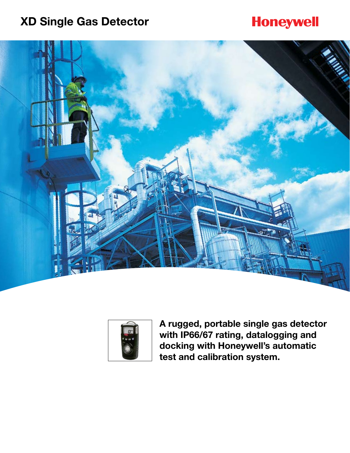# **XD Single Gas Detector**

# **Honeywell**





**A rugged, portable single gas detector with IP66/67 rating, datalogging and docking with Honeywell's automatic test and calibration system.**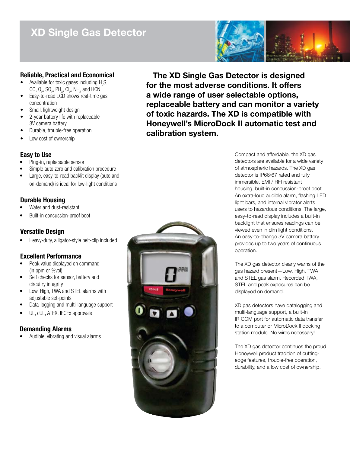## **XD Single Gas Detector**



## **Reliable, Practical and Economical**

- Available for toxic gases including  $H_2S$ , CO,  $O_2$ , SO<sub>2</sub>, PH<sub>3</sub>, CI<sub>2</sub>, NH<sub>3</sub> and HCN
- Easy-to-read LCD shows real-time gas concentration
- Small, lightweight design
- 2-year battery life with replaceable 3V camera battery
- Durable, trouble-free operation
- Low cost of ownership

## **Easy to Use**

- Plug-in, replaceable sensor
- Simple auto zero and calibration procedure
- Large, easy-to-read backlit display (auto and on-demand) is ideal for low-light conditions

## **Durable Housing**

- Water and dust-resistant
- Built-in concussion-proof boot

## **Versatile Design**

Heavy-duty, alligator-style belt-clip included

## **Excellent Performance**

- Peak value displayed on command (in ppm or %vol)
- Self checks for sensor, battery and circuitry integrity
- Low, High, TWA and STEL alarms with adjustable set-points
- Data-logging and multi-language support
- UL, cUL, ATEX, IECEx approvals

## **Demanding Alarms**

Audible, vibrating and visual alarms





Compact and affordable, the XD gas detectors are available for a wide variety of atmospheric hazards. The XD gas detector is IP66/67 rated and fully immersible, EMI / RFI resistant housing, built-in concussion-proof boot. An extra-loud audible alarm, flashing LED light bars, and internal vibrator alerts users to hazardous conditions. The large, easy-to-read display includes a built-in backlight that ensures readings can be viewed even in dim light conditions. An easy-to-change 3V camera battery provides up to two years of continuous operation.

The XD gas detector clearly warns of the gas hazard present—Low, High, TWA and STEL gas alarm. Recorded TWA, STEL and peak exposures can be displayed on demand.

XD gas detectors have datalogging and multi-language support, a built-in IR COM port for automatic data transfer to a computer or MicroDock II docking station module. No wires necessary!

The XD gas detector continues the proud Honeywell product tradition of cuttingedge features, trouble-free operation, durability, and a low cost of ownership.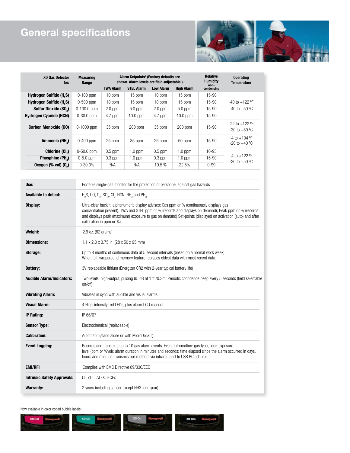# **General specifications**



| <b>XD Gas Detector</b><br>for:           | <b>Measuring</b><br>Range | Alarm Setpoints <sup>1</sup> (Factory defaults are<br>shown. Alarm levels are field-adjustable.) |                   |                  |                   | <b>Relative</b><br><b>Humidity</b><br>non- | <b>Operating</b><br><b>Temperature</b>  |
|------------------------------------------|---------------------------|--------------------------------------------------------------------------------------------------|-------------------|------------------|-------------------|--------------------------------------------|-----------------------------------------|
|                                          |                           | <b>TWA Alarm</b>                                                                                 | <b>STEL Alarm</b> | <b>Low Alarm</b> | <b>High Alarm</b> | condensing                                 |                                         |
| <b>Hydrogen Sulfide (H<sub>2</sub>S)</b> | $0-100$ ppm               | $10$ ppm                                                                                         | 15 ppm            | $10$ ppm         | 15 ppm            | 15-90                                      |                                         |
| Hydrogen Sulfide (H <sub>2</sub> S)      | $0-500$ ppm               | $10$ ppm                                                                                         | $15$ ppm          | $10$ ppm         | 15 ppm            | $15-90$                                    | $-40$ to $+122$ °F                      |
| Sulfur Dioxide (SO <sub>2</sub> )        | $0-100.0$ ppm             | $2.0$ ppm                                                                                        | $5.0$ ppm         | $2.0$ ppm        | $5.0$ ppm         | $15-90$                                    | $-40$ to $+50$ °C                       |
| <b>Hydrogen Cyanide (HCN)</b>            | $0-30.0$ ppm              | $4.7$ ppm                                                                                        | $10.0$ ppm        | $4.7$ ppm        | $10.0$ ppm        | $15-90$                                    |                                         |
| <b>Carbon Monoxide (CO)</b>              | $0-1000$ ppm              | 35 ppm                                                                                           | $200$ ppm         | 35 ppm           | $200$ ppm         | 15-90                                      | $-22$ to $+122$ °F<br>$-30$ to $+50$ °C |
| Ammonia (NH <sub>2</sub> )               | $0-400$ ppm               | 25 ppm                                                                                           | 35 ppm            | 25 ppm           | 50 ppm            | $15-90$                                    | $-4$ to $+104$ °F<br>$-20$ to $+40$ °C  |
| Chlorine (Cl <sub>2</sub> )              | $0-50.0$ ppm              | $0.5$ ppm                                                                                        | $1.0$ ppm         | $0.5$ ppm        | $1.0$ ppm         | 10-95                                      | $-4$ to $+122$ °F<br>$-20$ to $+50$ °C  |
| Phosphine (PH <sub>2</sub> )             | $0-5.0$ ppm               | $0.3$ ppm                                                                                        | $1.0$ ppm         | $0.3$ ppm        | $1.0$ ppm         | $15-90$                                    |                                         |
| Oxygen $(\%$ vol) $(0_2)$                | $0 - 30.0%$               | N/A                                                                                              | N/A               | 19.5%            | 22.5%             | $0 - 99$                                   |                                         |

| Use:                               | Portable single-gas monitor for the protection of personnel against gas hazards                                                                                                                                                                                                                                                                 |  |  |  |  |
|------------------------------------|-------------------------------------------------------------------------------------------------------------------------------------------------------------------------------------------------------------------------------------------------------------------------------------------------------------------------------------------------|--|--|--|--|
| <b>Available to detect:</b>        | $H_2S$ , CO, O <sub>2</sub> , SO <sub>2</sub> , Cl <sub>2</sub> , HCN, NH <sub>3</sub> and PH <sub>3</sub>                                                                                                                                                                                                                                      |  |  |  |  |
| Display:                           | Ultra-clear backlit, alphanumeric display advises: Gas ppm or % (continuously displays gas<br>concentration present); TWA and STEL ppm or % (records and displays on demand); Peak ppm or % (records<br>and displays peak (maximum) exposure to gas on demand) Set-points (displayed on activation (auto) and after<br>calibration in ppm or %) |  |  |  |  |
| Weight:                            | 2.9 oz. (82 grams)                                                                                                                                                                                                                                                                                                                              |  |  |  |  |
| <b>Dimensions:</b>                 | 1.1 x 2.0 x 3.75 in. (28 x 50 x 95 mm)                                                                                                                                                                                                                                                                                                          |  |  |  |  |
| Storage:                           | Up to 8 months of continuous data at 5 second intervals (based on a normal work week).<br>When full, wraparound memory feature replaces oldest data with most recent data.                                                                                                                                                                      |  |  |  |  |
| <b>Battery:</b>                    | 3V replaceable lithium (Energizer CR2 with 2-year typical battery life)                                                                                                                                                                                                                                                                         |  |  |  |  |
| <b>Audible Alarm/Indicators:</b>   | Two levels, high-output, pulsing 95 dB at 1 ft./0.3m; Periodic confidence beep every 5 seconds (field selectable<br>on/off)                                                                                                                                                                                                                     |  |  |  |  |
| <b>Vibrating Alarm:</b>            | Vibrates in sync with audible and visual alarms                                                                                                                                                                                                                                                                                                 |  |  |  |  |
| Visual Alarm:                      | 4 High-intensity red LEDs, plus alarm LCD readout                                                                                                                                                                                                                                                                                               |  |  |  |  |
| <b>IP Rating:</b>                  | IP 66/67                                                                                                                                                                                                                                                                                                                                        |  |  |  |  |
| <b>Sensor Type:</b>                | Electrochemical (replaceable)                                                                                                                                                                                                                                                                                                                   |  |  |  |  |
| <b>Calibration:</b>                | Automatic (stand alone or with MicroDock II)                                                                                                                                                                                                                                                                                                    |  |  |  |  |
| <b>Event Logging:</b>              | Records and transmits up to 10 gas alarm events. Event information: gas type, peak exposure<br>level (ppm or %vol); alarm duration in minutes and seconds; time elapsed since the alarm occurred in days,<br>hours and minutes. Transmission method: via infrared port to USB PC adapter.                                                       |  |  |  |  |
| <b>EMI/RFI</b>                     | Complies with EMC Directive 89/336/EEC                                                                                                                                                                                                                                                                                                          |  |  |  |  |
| <b>Intrinsic Safety Approvals:</b> | UL, cUL; ATEX, IECEX                                                                                                                                                                                                                                                                                                                            |  |  |  |  |
| <b>Warranty:</b>                   | 2 years including sensor except NH3 (one year)                                                                                                                                                                                                                                                                                                  |  |  |  |  |

Now available in color coded bubble labels: